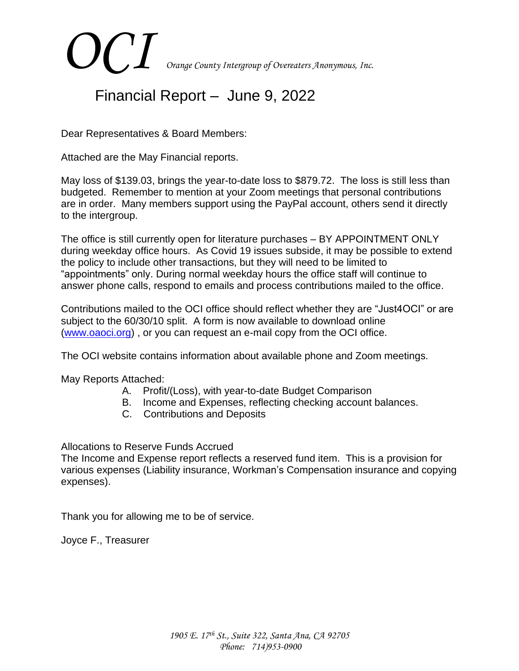# *OCI Orange County Intergroup of Overeaters Anonymous, Inc.*

# Financial Report – June 9, 2022

Dear Representatives & Board Members:

Attached are the May Financial reports.

May loss of \$139.03, brings the year-to-date loss to \$879.72. The loss is still less than budgeted. Remember to mention at your Zoom meetings that personal contributions are in order. Many members support using the PayPal account, others send it directly to the intergroup.

The office is still currently open for literature purchases – BY APPOINTMENT ONLY during weekday office hours. As Covid 19 issues subside, it may be possible to extend the policy to include other transactions, but they will need to be limited to "appointments" only. During normal weekday hours the office staff will continue to answer phone calls, respond to emails and process contributions mailed to the office.

Contributions mailed to the OCI office should reflect whether they are "Just4OCI" or are subject to the 60/30/10 split. A form is now available to download online [\(www.oaoci.org\)](http://www.oaoci.org/) , or you can request an e-mail copy from the OCI office.

The OCI website contains information about available phone and Zoom meetings.

May Reports Attached:

- A. Profit/(Loss), with year-to-date Budget Comparison
- B. Income and Expenses, reflecting checking account balances.
- C. Contributions and Deposits

Allocations to Reserve Funds Accrued

The Income and Expense report reflects a reserved fund item. This is a provision for various expenses (Liability insurance, Workman's Compensation insurance and copying expenses).

Thank you for allowing me to be of service.

Joyce F., Treasurer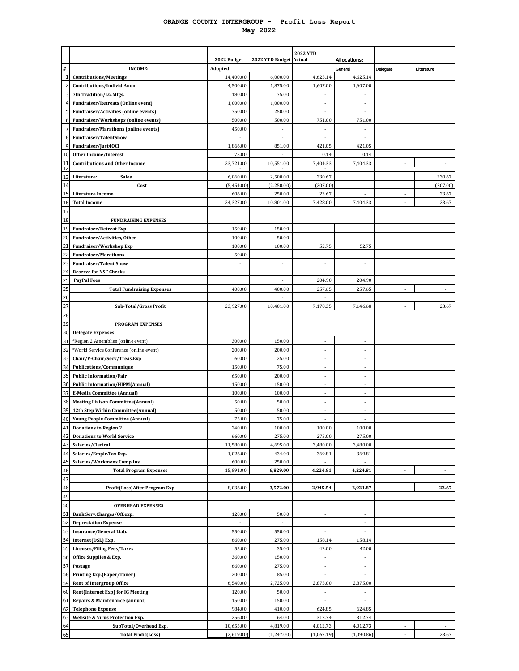#### **ORANGE COUNTY INTERGROUP - Profit Loss Report May 2022**

|                       |                                                                                     | 2022 Budget            | 2022 YTD Budget Actual | <b>2022 YTD</b>          | Allocations:             |                |                |
|-----------------------|-------------------------------------------------------------------------------------|------------------------|------------------------|--------------------------|--------------------------|----------------|----------------|
| #                     | <b>INCOME:</b>                                                                      | Adopted                |                        |                          | General                  | Delegate       | Literature     |
| $\overline{1}$        | <b>Contributions/Meetings</b>                                                       | 14,400.00              | 6,000.00               | 4,625.14                 | 4,625.14                 |                |                |
| $\overline{2}$        | Contributions/Individ.Anon.                                                         | 4,500.00               | 1,875.00               | 1,607.00                 | 1,607.00                 |                |                |
| 3                     | 7th Tradition/I.G.Mtgs.                                                             | 180.00                 | 75.00                  |                          |                          |                |                |
| $\overline{4}$        | <b>Fundraiser/Retreats (Online event)</b>                                           | 1,000.00               | 1,000.00               | ×,                       |                          |                |                |
| 5                     | Fundraiser/Activities (online events)                                               | 750.00                 | 250.00                 |                          |                          |                |                |
| 6<br>$\overline{7}$   | Fundraiser/Workshops (online events)<br><b>Fundraiser/Marathons (online events)</b> | 500.00                 | 500.00                 | 751.00                   | 751.00                   |                |                |
| 8                     | <b>Fundraiser/TalentShow</b>                                                        | 450.00                 |                        |                          |                          |                |                |
| 9                     | Fundraiser/Just40CI                                                                 | 1,866.00               | 851.00                 | 421.05                   | 421.05                   |                |                |
| 10                    | <b>Other Income/Interest</b>                                                        | 75.00                  |                        | 0.14                     | 0.14                     |                |                |
| 11                    | <b>Contributions and Other Income</b>                                               | 23,721.00              | 10,551.00              | 7,404.33                 | 7,404.33                 |                |                |
| 12                    |                                                                                     |                        |                        |                          |                          |                | 230.67         |
| 13<br>14              | <b>Sales</b><br>Literature:<br>Cost                                                 | 6,060.00<br>(5,454.00) | 2,500.00<br>(2,250.00) | 230.67<br>(207.00)       |                          |                | (207.00)       |
| 15                    | <b>Literature Income</b>                                                            | 606.00                 | 250.00                 | 23.67                    |                          |                | 23.67          |
| 16                    | <b>Total Income</b>                                                                 | 24,327.00              | 10,801.00              | 7,428.00                 | 7,404.33                 |                | 23.67          |
| 17                    |                                                                                     |                        |                        |                          |                          |                |                |
| 18                    | <b>FUNDRAISING EXPENSES</b>                                                         |                        |                        |                          |                          |                |                |
| 19                    | <b>Fundraiser/Retreat Exp</b>                                                       | 150.00                 | 150.00                 |                          |                          |                |                |
| 20                    | Fundraiser/Activities, Other                                                        | 100.00                 | 50.00                  | ÷,                       | ä,                       |                |                |
| $\overline{21}$       | Fundraiser/Workshop Exp                                                             | 100.00                 | 100.00                 | 52.75                    | 52.75                    |                |                |
| $\overline{22}$       | <b>Fundraiser/Marathons</b>                                                         | 50.00                  |                        |                          |                          |                |                |
| 23<br>$\overline{24}$ | <b>Fundraiser/Talent Show</b><br><b>Reserve for NSF Checks</b>                      | ٠                      | ÷,<br>٠                | ÷                        | ä,                       |                |                |
| 25                    | <b>PayPal Fees</b>                                                                  |                        |                        | 204.90                   | 204.90                   |                |                |
| 25                    | <b>Total Fundraising Expenses</b>                                                   | 400.00                 | 400.00                 | 257.65                   | 257.65                   |                |                |
| 26                    |                                                                                     |                        |                        |                          |                          |                |                |
| $\overline{27}$       | Sub-Total/Gross Profit                                                              | 23,927.00              | 10,401.00              | 7,170.35                 | 7,146.68                 |                | 23.67          |
| 28                    |                                                                                     |                        |                        |                          |                          |                |                |
| 29                    | <b>PROGRAM EXPENSES</b>                                                             |                        |                        |                          |                          |                |                |
| 30                    | <b>Delegate Expenses:</b>                                                           |                        |                        |                          |                          |                |                |
| 31                    | *Region 2 Assemblies (online event)                                                 | 300.00                 | 150.00                 | ÷,                       |                          |                |                |
| 32<br>33              | *World Service Conference (online event)<br>Chair/V-Chair/Secy/Treas.Exp            | 200.00<br>60.00        | 200.00<br>25.00        | $\overline{\phantom{a}}$ | ä,                       |                |                |
| 34                    | Publications/Communique                                                             | 150.00                 | 75.00                  | ٠                        |                          |                |                |
| 35                    | <b>Public Information/Fair</b>                                                      | 650.00                 | 200.00                 |                          |                          |                |                |
| 36                    | <b>Public Information/HIPM(Annual)</b>                                              | 150.00                 | 150.00                 | ÷,                       | ä,                       |                |                |
| 37                    | <b>E-Media Committee (Annual)</b>                                                   | 100.00                 | 100.00                 |                          |                          |                |                |
| 38                    | <b>Meeting Liaison Committee(Annual)</b>                                            | 50.00                  | 50.00                  |                          |                          |                |                |
| 39                    | 12th Step Within Committee(Annual)                                                  | 50.00                  | 50.00                  | ÷,                       | ä,                       |                |                |
| 40                    | <b>Young People Committee (Annual)</b>                                              | 75.00                  | 75.00                  |                          |                          |                |                |
| 41<br>42              | <b>Donations to Region 2</b>                                                        | 240.00<br>660.00       | 100.00                 | 100.00                   | 100.00                   |                |                |
| 43                    | <b>Donations to World Service</b><br>Salaries/Clerical                              | 11,580.00              | 275.00<br>4,695.00     | 275.00<br>3,480.00       | 275.00<br>3,480.00       |                |                |
| 44                    | Salaries/Emplr.Tax Exp.                                                             | 1,026.00               | 434.00                 | 369.81                   | 369.81                   |                |                |
| 45                    | Salaries/Workmens Comp Ins.                                                         | 600.00                 | 250.00                 |                          |                          |                |                |
| 46                    | <b>Total Program Expenses</b>                                                       | 15,891.00              | 6,829.00               | 4,224.81                 | 4,224.81                 | $\blacksquare$ | $\blacksquare$ |
| 47                    |                                                                                     |                        |                        |                          |                          |                |                |
| 48                    | Profit(Loss)After Program Exp                                                       | 8,036.00               | 3,572.00               | 2,945.54                 | 2,921.87                 | $\blacksquare$ | 23.67          |
| 49                    |                                                                                     |                        |                        |                          |                          |                |                |
| 50                    | <b>OVERHEAD EXPENSES</b>                                                            |                        |                        |                          |                          |                |                |
| 51<br>52              | Bank Serv.Charges/Off.exp.<br><b>Depreciation Expense</b>                           | 120.00                 | 50.00                  |                          |                          |                |                |
| 53                    | Insurance/General Liab.                                                             | 550.00                 | 550.00                 |                          | ٠                        |                |                |
| 54                    | Internet(DSL) Exp.                                                                  | 660.00                 | 275.00                 | 158.14                   | 158.14                   |                |                |
| 55                    | <b>Licenses/Filing Fees/Taxes</b>                                                   | 55.00                  | 35.00                  | 42.00                    | 42.00                    |                |                |
| 56                    | Office Supplies & Exp.                                                              | 360.00                 | 150.00                 | ä,                       | ä,                       |                |                |
| 57                    | Postage                                                                             | 660.00                 | 275.00                 | ٠                        | $\overline{\phantom{a}}$ |                |                |
| 58                    | <b>Printing Exp.(Paper/Toner)</b>                                                   | 200.00                 | 85.00                  |                          |                          |                |                |
| 59                    | <b>Rent of Intergroup Office</b>                                                    | 6,540.00               | 2,725.00               | 2,875.00                 | 2,875.00                 |                |                |
| 60                    | Rent(Internet Exp) for IG Meeting                                                   | 120.00                 | 50.00                  | $\overline{\phantom{a}}$ | ä,                       |                |                |
| 61<br>62              | Repairs & Maintenance (annual)<br><b>Telephone Expense</b>                          | 150.00<br>984.00       | 150.00<br>410.00       | 624.85                   | 624.85                   |                |                |
| 63                    | Website & Virus Protection Exp.                                                     | 256.00                 | 64.00                  | 312.74                   | 312.74                   |                |                |
| 64                    | SubTotal/Overhead Exp.                                                              | 10,655.00              | 4,819.00               | 4,012.73                 | 4,012.73                 |                |                |
| 65                    | <b>Total Profit(Loss)</b>                                                           | (2,619.00)             | (1,247.00)             | (1,067.19)               | (1,090.86)               |                | 23.67          |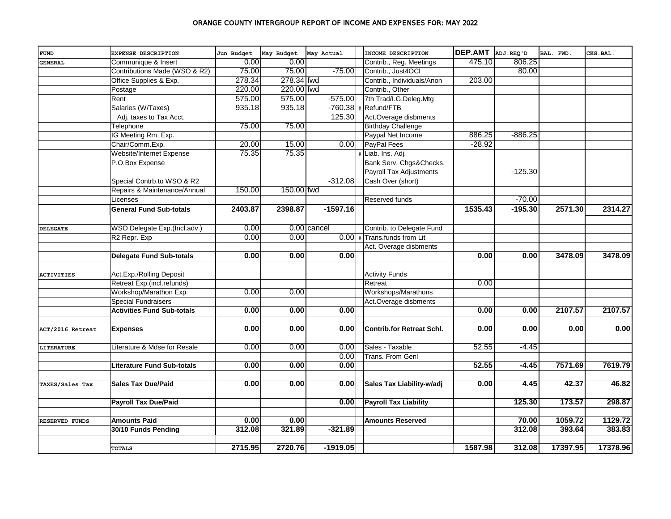#### ORANGE COUNTY INTERGROUP REPORT OF INCOME AND EXPENSES FOR: MAY 2022

| <b>FUND</b>       | EXPENSE DESCRIPTION               | Jun Budget | May Budget | May Actual  | INCOME DESCRIPTION               | DEP.AMT ADJ.REQ'D |           | BAL. FWD. | CKG.BAL. |
|-------------------|-----------------------------------|------------|------------|-------------|----------------------------------|-------------------|-----------|-----------|----------|
| <b>GENERAL</b>    | Communique & Insert               | 0.00       | 0.00       |             | Contrib., Reg. Meetings          | 475.10            | 806.25    |           |          |
|                   | Contributions Made (WSO & R2)     | 75.00      | 75.00      | $-75.00$    | Contrib., Just4OCI               |                   | 80.00     |           |          |
|                   | Office Supplies & Exp.            | 278.34     | 278.34 fwd |             | Contrib., Individuals/Anon       | 203.00            |           |           |          |
|                   | Postage                           | 220.00     | 220.00 fwd |             | Contrib., Other                  |                   |           |           |          |
|                   | Rent                              | 575.00     | 575.00     | $-575.00$   | 7th Trad/I.G.Deleg.Mtg           |                   |           |           |          |
|                   | Salaries (W/Taxes)                | 935.18     | 935.18     | $-760.38$   | Refund/FTB                       |                   |           |           |          |
|                   | Adj. taxes to Tax Acct.           |            |            | 125.30      | Act.Overage disbments            |                   |           |           |          |
|                   | Telephone                         | 75.00      | 75.00      |             | <b>Birthday Challenge</b>        |                   |           |           |          |
|                   | IG Meeting Rm. Exp.               |            |            |             | Paypal Net Income                | 886.25            | $-886.25$ |           |          |
|                   | Chair/Comm.Exp.                   | 20.00      | 15.00      | 0.00        | PayPal Fees                      | $-28.92$          |           |           |          |
|                   | Website/Internet Expense          | 75.35      | 75.35      |             | Liab. Ins. Adj.                  |                   |           |           |          |
|                   | P.O.Box Expense                   |            |            |             | Bank Serv. Chgs&Checks.          |                   |           |           |          |
|                   |                                   |            |            |             | <b>Payroll Tax Adjustments</b>   |                   | $-125.30$ |           |          |
|                   | Special Contrb.to WSO & R2        |            |            | $-312.08$   | Cash Over (short)                |                   |           |           |          |
|                   | Repairs & Maintenance/Annual      | 150.00     | 150.00 fwd |             |                                  |                   |           |           |          |
|                   | Licenses                          |            |            |             | Reserved funds                   |                   | $-70.00$  |           |          |
|                   | <b>General Fund Sub-totals</b>    | 2403.87    | 2398.87    | $-1597.16$  |                                  | 1535.43           | $-195.30$ | 2571.30   | 2314.27  |
|                   |                                   |            |            |             |                                  |                   |           |           |          |
| <b>DELEGATE</b>   | WSO Delegate Exp.(Incl.adv.)      | 0.00       |            | 0.00 cancel | Contrib. to Delegate Fund        |                   |           |           |          |
|                   | R2 Repr. Exp                      | 0.00       | 0.00       | 0.00        | Trans.funds from Lit             |                   |           |           |          |
|                   |                                   |            |            |             | Act. Overage disbments           |                   |           |           |          |
|                   | <b>Delegate Fund Sub-totals</b>   | 0.00       | 0.00       | 0.00        |                                  | 0.00              | 0.00      | 3478.09   | 3478.09  |
| <b>ACTIVITIES</b> | Act.Exp./Rolling Deposit          |            |            |             | <b>Activity Funds</b>            |                   |           |           |          |
|                   | Retreat Exp.(incl.refunds)        |            |            |             | Retreat                          | 0.00              |           |           |          |
|                   | Workshop/Marathon Exp.            | 0.00       | 0.00       |             | Workshops/Marathons              |                   |           |           |          |
|                   | <b>Special Fundraisers</b>        |            |            |             | Act.Overage disbments            |                   |           |           |          |
|                   | <b>Activities Fund Sub-totals</b> | 0.00       | 0.00       | 0.00        |                                  | 0.00              | 0.00      | 2107.57   | 2107.57  |
| ACT/2016 Retreat  | <b>Expenses</b>                   | 0.00       | 0.00       | 0.00        | <b>Contrib.for Retreat Schl.</b> | 0.00              | 0.00      | 0.00      | 0.00     |
|                   |                                   |            |            |             |                                  |                   |           |           |          |
| <b>LITERATURE</b> | Literature & Mdse for Resale      | 0.00       | 0.00       | 0.00        | Sales - Taxable                  | 52.55             | $-4.45$   |           |          |
|                   |                                   |            |            | 0.00        | Trans. From Genl                 |                   |           |           |          |
|                   | <b>Literature Fund Sub-totals</b> | 0.00       | 0.00       | 0.00        |                                  | 52.55             | $-4.45$   | 7571.69   | 7619.79  |
|                   | <b>Sales Tax Due/Paid</b>         | 0.00       | 0.00       | 0.00        | Sales Tax Liability-w/adj        | 0.00              | 4.45      | 42.37     | 46.82    |
| TAXES/Sales Tax   |                                   |            |            |             |                                  |                   |           |           |          |
|                   | <b>Payroll Tax Due/Paid</b>       |            |            | 0.00        | <b>Payroll Tax Liability</b>     |                   | 125.30    | 173.57    | 298.87   |
| RESERVED FUNDS    | <b>Amounts Paid</b>               | 0.00       | 0.00       |             | <b>Amounts Reserved</b>          |                   | 70.00     | 1059.72   | 1129.72  |
|                   | 30/10 Funds Pending               | 312.08     | 321.89     | $-321.89$   |                                  |                   | 312.08    | 393.64    | 383.83   |
|                   |                                   |            |            |             |                                  |                   |           |           |          |
|                   | <b>TOTALS</b>                     | 2715.95    | 2720.76    | $-1919.05$  |                                  | 1587.98           | 312.08    | 17397.95  | 17378.96 |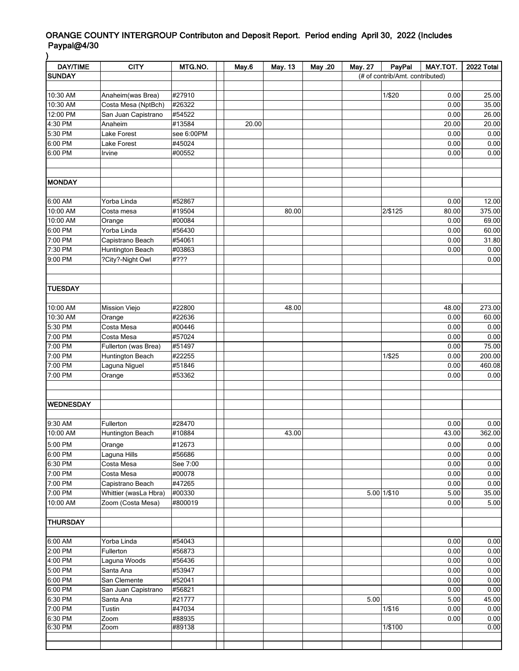## ORANGE COUNTY INTERGROUP Contributon and Deposit Report. Period ending April 30, 2022 (Includes Paypal@4/30 )

| <b>DAY/TIME</b>    | <b>CITY</b>           | MTG.NO.          | May.6 | May 13 | May .20 | May. 27 | PayPal                          | MAY.TOT. | 2022 Total   |
|--------------------|-----------------------|------------------|-------|--------|---------|---------|---------------------------------|----------|--------------|
| <b>SUNDAY</b>      |                       |                  |       |        |         |         | (# of contrib/Amt. contributed) |          |              |
|                    |                       |                  |       |        |         |         |                                 |          |              |
| 10:30 AM           | Anaheim(was Brea)     | #27910           |       |        |         |         | 1/\$20                          | 0.00     | 25.00        |
| 10:30 AM           | Costa Mesa (NptBch)   | #26322           |       |        |         |         |                                 | 0.00     | 35.00        |
| 12:00 PM           | San Juan Capistrano   | #54522           |       |        |         |         |                                 | 0.00     | 26.00        |
| 4:30 PM            | Anaheim               | #13584           | 20.00 |        |         |         |                                 | 20.00    | 20.00        |
| 5:30 PM            | Lake Forest           | see 6:00PM       |       |        |         |         |                                 | 0.00     | 0.00         |
| 6:00 PM            | Lake Forest           | #45024           |       |        |         |         |                                 | 0.00     | 0.00         |
| 6:00 PM            | Irvine                | #00552           |       |        |         |         |                                 | 0.00     | 0.00         |
|                    |                       |                  |       |        |         |         |                                 |          |              |
|                    |                       |                  |       |        |         |         |                                 |          |              |
| MONDAY             |                       |                  |       |        |         |         |                                 |          |              |
|                    |                       |                  |       |        |         |         |                                 |          |              |
| 6:00 AM            | Yorba Linda           | #52867           |       |        |         |         |                                 | 0.00     | 12.00        |
| 10:00 AM           | Costa mesa            | #19504           |       | 80.00  |         |         | 2/\$125                         | 80.00    | 375.00       |
| 10:00 AM           | Orange                | #00084           |       |        |         |         |                                 | 0.00     | 69.00        |
| 6:00 PM            | Yorba Linda           | #56430           |       |        |         |         |                                 | 0.00     | 60.00        |
| 7:00 PM            | Capistrano Beach      | #54061           |       |        |         |         |                                 | 0.00     | 31.80        |
| 7:30 PM            | Huntington Beach      | #03863           |       |        |         |         |                                 | 0.00     | 0.00         |
| 9:00 PM            | ?City?-Night Owl      | #???             |       |        |         |         |                                 |          | 0.00         |
|                    |                       |                  |       |        |         |         |                                 |          |              |
|                    |                       |                  |       |        |         |         |                                 |          |              |
| <b>TUESDAY</b>     |                       |                  |       |        |         |         |                                 |          |              |
|                    |                       |                  |       |        |         |         |                                 |          |              |
| 10:00 AM           | <b>Mission Viejo</b>  | #22800           |       | 48.00  |         |         |                                 | 48.00    | 273.00       |
| 10:30 AM           | Orange                | #22636           |       |        |         |         |                                 | 0.00     | 60.00        |
| 5:30 PM            | Costa Mesa            | #00446           |       |        |         |         |                                 | 0.00     | 0.00         |
| 7:00 PM            | Costa Mesa            | #57024           |       |        |         |         |                                 | 0.00     | 0.00         |
| 7:00 PM            | Fullerton (was Brea)  | #51497           |       |        |         |         |                                 | 0.00     | 75.00        |
| 7:00 PM            | Huntington Beach      | #22255           |       |        |         |         | 1/\$25                          | 0.00     | 200.00       |
| 7:00 PM            | Laguna Niguel         | #51846           |       |        |         |         |                                 | 0.00     | 460.08       |
| 7:00 PM            | Orange                | #53362           |       |        |         |         |                                 | 0.00     | 0.00         |
|                    |                       |                  |       |        |         |         |                                 |          |              |
|                    |                       |                  |       |        |         |         |                                 |          |              |
| <b>WEDNESDAY</b>   |                       |                  |       |        |         |         |                                 |          |              |
|                    |                       |                  |       |        |         |         |                                 |          |              |
| 9:30 AM            | Fullerton             | #28470           |       |        |         |         |                                 | 0.00     | 0.00         |
| 10:00 AM           | Huntington Beach      | #10884           |       | 43.00  |         |         |                                 | 43.00    | 362.00       |
| 5:00 PM            | Orange                | #12673           |       |        |         |         |                                 | 0.00     | 0.00         |
| 6:00 PM            | Laguna Hills          | #56686           |       |        |         |         |                                 | 0.00     | 0.00         |
| 6:30 PM            | Costa Mesa            | See 7:00         |       |        |         |         |                                 | 0.00     | 0.00         |
| 7:00 PM            | Costa Mesa            | #00078           |       |        |         |         |                                 | 0.00     | 0.00         |
| 7:00 PM            | Capistrano Beach      | #47265           |       |        |         |         |                                 | 0.00     | 0.00         |
| 7:00 PM            | Whittier (wasLa Hbra) | #00330           |       |        |         |         | $5.00$ 1/\$10                   | 5.00     | 35.00        |
| 10:00 AM           | Zoom (Costa Mesa)     | #800019          |       |        |         |         |                                 | 0.00     | 5.00         |
|                    |                       |                  |       |        |         |         |                                 |          |              |
| <b>THURSDAY</b>    |                       |                  |       |        |         |         |                                 |          |              |
|                    |                       |                  |       |        |         |         |                                 |          |              |
| 6:00 AM            | Yorba Linda           | #54043           |       |        |         |         |                                 | 0.00     | 0.00         |
| 2:00 PM            | Fullerton             | #56873           |       |        |         |         |                                 | 0.00     | 0.00         |
| 4:00 PM            | Laguna Woods          | #56436           |       |        |         |         |                                 | 0.00     | 0.00         |
| 5:00 PM            | Santa Ana             | #53947           |       |        |         |         |                                 | 0.00     | 0.00         |
| 6:00 PM            | San Clemente          | #52041           |       |        |         |         |                                 | 0.00     | 0.00         |
| 6:00 PM            | San Juan Capistrano   | #56821           |       |        |         |         |                                 | 0.00     | 0.00         |
|                    |                       |                  |       |        |         | 5.00    |                                 | 5.00     |              |
| 6:30 PM            | Santa Ana             | #21777<br>#47034 |       |        |         |         | 1/\$16                          | 0.00     | 45.00        |
| 7:00 PM            | Tustin                |                  |       |        |         |         |                                 |          | 0.00         |
| 6:30 PM<br>6:30 PM | Zoom<br>Zoom          | #88935<br>#89138 |       |        |         |         | 1/\$100                         | 0.00     | 0.00<br>0.00 |
|                    |                       |                  |       |        |         |         |                                 |          |              |
|                    |                       |                  |       |        |         |         |                                 |          |              |
|                    |                       |                  |       |        |         |         |                                 |          |              |